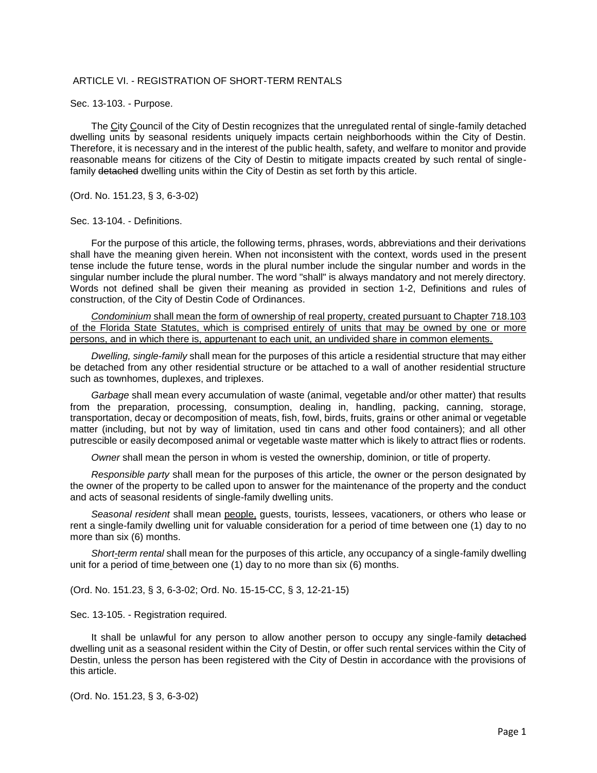## ARTICLE VI. - REGISTRATION OF SHORT-TERM RENTALS

Sec. 13-103. - Purpose.

The City Council of the City of Destin recognizes that the unregulated rental of single-family detached dwelling units by seasonal residents uniquely impacts certain neighborhoods within the City of Destin. Therefore, it is necessary and in the interest of the public health, safety, and welfare to monitor and provide reasonable means for citizens of the City of Destin to mitigate impacts created by such rental of singlefamily detached dwelling units within the City of Destin as set forth by this article.

(Ord. No. 151.23, § 3, 6-3-02)

## Sec. 13-104. - Definitions.

For the purpose of this article, the following terms, phrases, words, abbreviations and their derivations shall have the meaning given herein. When not inconsistent with the context, words used in the present tense include the future tense, words in the plural number include the singular number and words in the singular number include the plural number. The word "shall" is always mandatory and not merely directory. Words not defined shall be given their meaning as provided in section 1-2, Definitions and rules of construction, of the City of Destin Code of Ordinances.

*Condominium* shall mean the form of ownership of real property, created pursuant to Chapter 718.103 of the Florida State Statutes, which is comprised entirely of units that may be owned by one or more persons, and in which there is, appurtenant to each unit, an undivided share in common elements.

*Dwelling, single-family* shall mean for the purposes of this article a residential structure that may either be detached from any other residential structure or be attached to a wall of another residential structure such as townhomes, duplexes, and triplexes.

*Garbage* shall mean every accumulation of waste (animal, vegetable and/or other matter) that results from the preparation, processing, consumption, dealing in, handling, packing, canning, storage, transportation, decay or decomposition of meats, fish, fowl, birds, fruits, grains or other animal or vegetable matter (including, but not by way of limitation, used tin cans and other food containers); and all other putrescible or easily decomposed animal or vegetable waste matter which is likely to attract flies or rodents.

*Owner* shall mean the person in whom is vested the ownership, dominion, or title of property.

*Responsible party* shall mean for the purposes of this article, the owner or the person designated by the owner of the property to be called upon to answer for the maintenance of the property and the conduct and acts of seasonal residents of single-family dwelling units.

*Seasonal resident* shall mean people, guests, tourists, lessees, vacationers, or others who lease or rent a single-family dwelling unit for valuable consideration for a period of time between one (1) day to no more than six (6) months.

*Short-term rental* shall mean for the purposes of this article, any occupancy of a single-family dwelling unit for a period of time between one (1) day to no more than six (6) months.

(Ord. No. 151.23, § 3, 6-3-02; Ord. No. 15-15-CC, § 3, 12-21-15)

Sec. 13-105. - Registration required.

It shall be unlawful for any person to allow another person to occupy any single-family detached dwelling unit as a seasonal resident within the City of Destin, or offer such rental services within the City of Destin, unless the person has been registered with the City of Destin in accordance with the provisions of this article.

(Ord. No. 151.23, § 3, 6-3-02)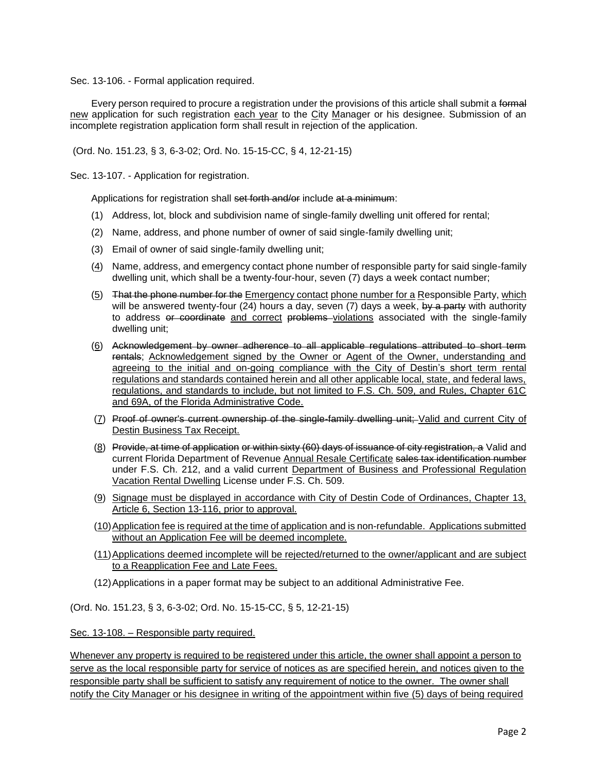Sec. 13-106. - Formal application required.

Every person required to procure a registration under the provisions of this article shall submit a formal new application for such registration each year to the City Manager or his designee. Submission of an incomplete registration application form shall result in rejection of the application.

(Ord. No. 151.23, § 3, 6-3-02; Ord. No. 15-15-CC, § 4, 12-21-15)

Sec. 13-107. - Application for registration.

Applications for registration shall set forth and/or include at a minimum:

- (1) Address, lot, block and subdivision name of single-family dwelling unit offered for rental;
- (2) Name, address, and phone number of owner of said single-family dwelling unit;
- (3) Email of owner of said single-family dwelling unit;
- (4) Name, address, and emergency contact phone number of responsible party for said single-family dwelling unit, which shall be a twenty-four-hour, seven (7) days a week contact number;
- (5) That the phone number for the Emergency contact phone number for a Responsible Party, which will be answered twenty-four (24) hours a day, seven (7) days a week, by a party with authority to address or coordinate and correct problems violations associated with the single-family dwelling unit;
- (6) Acknowledgement by owner adherence to all applicable regulations attributed to short term rentals; Acknowledgement signed by the Owner or Agent of the Owner, understanding and agreeing to the initial and on-going compliance with the City of Destin's short term rental regulations and standards contained herein and all other applicable local, state, and federal laws, regulations, and standards to include, but not limited to F.S. Ch. 509, and Rules, Chapter 61C and 69A, of the Florida Administrative Code.
- (7) Proof of owner's current ownership of the single-family dwelling unit; Valid and current City of Destin Business Tax Receipt.
- (8) Provide, at time of application or within sixty (60) days of issuance of city registration, a Valid and current Florida Department of Revenue Annual Resale Certificate sales tax identification number under F.S. Ch. 212, and a valid current Department of Business and Professional Regulation Vacation Rental Dwelling License under F.S. Ch. 509.
- (9) Signage must be displayed in accordance with City of Destin Code of Ordinances, Chapter 13, Article 6, Section 13-116, prior to approval.
- (10)Application fee is required at the time of application and is non-refundable. Applications submitted without an Application Fee will be deemed incomplete.
- (11)Applications deemed incomplete will be rejected/returned to the owner/applicant and are subject to a Reapplication Fee and Late Fees.
- (12)Applications in a paper format may be subject to an additional Administrative Fee.

(Ord. No. 151.23, § 3, 6-3-02; Ord. No. 15-15-CC, § 5, 12-21-15)

Sec. 13-108. – Responsible party required.

Whenever any property is required to be registered under this article, the owner shall appoint a person to serve as the local responsible party for service of notices as are specified herein, and notices given to the responsible party shall be sufficient to satisfy any requirement of notice to the owner. The owner shall notify the City Manager or his designee in writing of the appointment within five (5) days of being required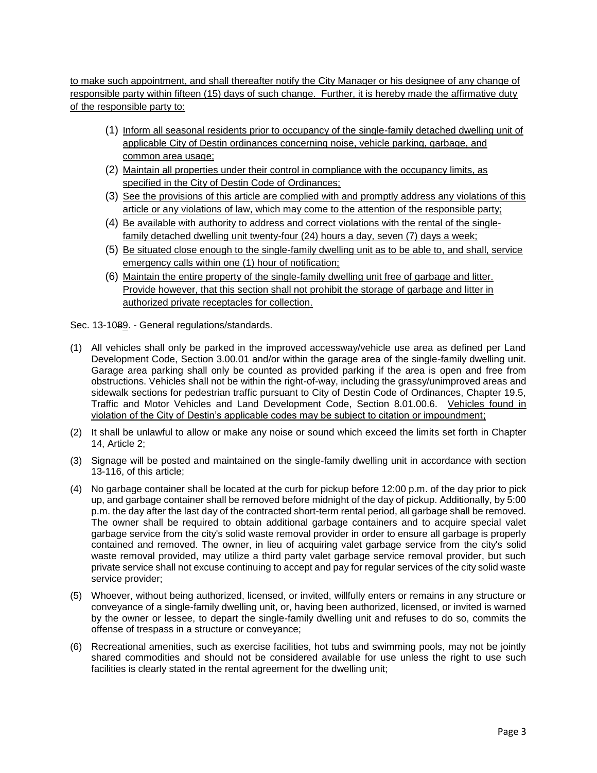to make such appointment, and shall thereafter notify the City Manager or his designee of any change of responsible party within fifteen (15) days of such change. Further, it is hereby made the affirmative duty of the responsible party to:

- (1) Inform all seasonal residents prior to occupancy of the single-family detached dwelling unit of applicable City of Destin ordinances concerning noise, vehicle parking, garbage, and common area usage;
- (2) Maintain all properties under their control in compliance with the occupancy limits, as specified in the City of Destin Code of Ordinances;
- (3) See the provisions of this article are complied with and promptly address any violations of this article or any violations of law, which may come to the attention of the responsible party;
- (4) Be available with authority to address and correct violations with the rental of the singlefamily detached dwelling unit twenty-four (24) hours a day, seven (7) days a week;
- (5) Be situated close enough to the single-family dwelling unit as to be able to, and shall, service emergency calls within one (1) hour of notification;
- (6) Maintain the entire property of the single-family dwelling unit free of garbage and litter. Provide however, that this section shall not prohibit the storage of garbage and litter in authorized private receptacles for collection.

Sec. 13-1089. - General regulations/standards.

- (1) All vehicles shall only be parked in the improved accessway/vehicle use area as defined per Land Development Code, Section 3.00.01 and/or within the garage area of the single-family dwelling unit. Garage area parking shall only be counted as provided parking if the area is open and free from obstructions. Vehicles shall not be within the right-of-way, including the grassy/unimproved areas and sidewalk sections for pedestrian traffic pursuant to City of Destin Code of Ordinances, Chapter 19.5, Traffic and Motor Vehicles and Land Development Code, Section 8.01.00.6. Vehicles found in violation of the City of Destin's applicable codes may be subject to citation or impoundment;
- (2) It shall be unlawful to allow or make any noise or sound which exceed the limits set forth in Chapter 14, Article 2;
- (3) Signage will be posted and maintained on the single-family dwelling unit in accordance with section 13-116, of this article;
- (4) No garbage container shall be located at the curb for pickup before 12:00 p.m. of the day prior to pick up, and garbage container shall be removed before midnight of the day of pickup. Additionally, by 5:00 p.m. the day after the last day of the contracted short-term rental period, all garbage shall be removed. The owner shall be required to obtain additional garbage containers and to acquire special valet garbage service from the city's solid waste removal provider in order to ensure all garbage is properly contained and removed. The owner, in lieu of acquiring valet garbage service from the city's solid waste removal provided, may utilize a third party valet garbage service removal provider, but such private service shall not excuse continuing to accept and pay for regular services of the city solid waste service provider;
- (5) Whoever, without being authorized, licensed, or invited, willfully enters or remains in any structure or conveyance of a single-family dwelling unit, or, having been authorized, licensed, or invited is warned by the owner or lessee, to depart the single-family dwelling unit and refuses to do so, commits the offense of trespass in a structure or conveyance;
- (6) Recreational amenities, such as exercise facilities, hot tubs and swimming pools, may not be jointly shared commodities and should not be considered available for use unless the right to use such facilities is clearly stated in the rental agreement for the dwelling unit;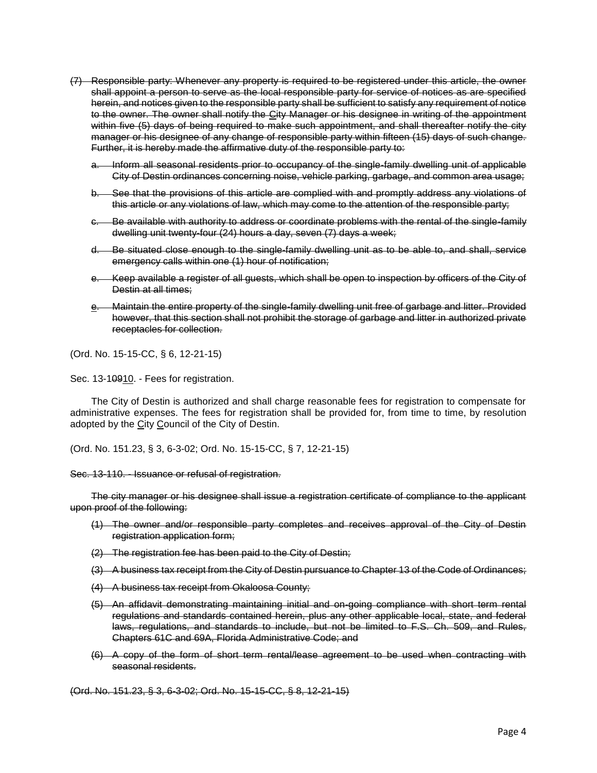- (7) Responsible party: Whenever any property is required to be registered under this article, the owner shall appoint a person to serve as the local responsible party for service of notices as are specified herein, and notices given to the responsible party shall be sufficient to satisfy any requirement of notice to the owner. The owner shall notify the City Manager or his designee in writing of the appointment within five (5) days of being required to make such appointment, and shall thereafter notify the city manager or his designee of any change of responsible party within fifteen (15) days of such change. Further, it is hereby made the affirmative duty of the responsible party to:
	- a. Inform all seasonal residents prior to occupancy of the single-family dwelling unit of applicable City of Destin ordinances concerning noise, vehicle parking, garbage, and common area usage;
	- b. See that the provisions of this article are complied with and promptly address any violations of this article or any violations of law, which may come to the attention of the responsible party;
	- c. Be available with authority to address or coordinate problems with the rental of the single-family dwelling unit twenty-four (24) hours a day, seven (7) days a week;
	- d. Be situated close enough to the single-family dwelling unit as to be able to, and shall, service emergency calls within one (1) hour of notification;
	- e. Keep available a register of all guests, which shall be open to inspection by officers of the City of Destin at all times;
	- e. Maintain the entire property of the single-family dwelling unit free of garbage and litter. Provided however, that this section shall not prohibit the storage of garbage and litter in authorized private receptacles for collection.

(Ord. No. 15-15-CC, § 6, 12-21-15)

Sec. 13-10910. - Fees for registration.

The City of Destin is authorized and shall charge reasonable fees for registration to compensate for administrative expenses. The fees for registration shall be provided for, from time to time, by resolution adopted by the City Council of the City of Destin.

(Ord. No. 151.23, § 3, 6-3-02; Ord. No. 15-15-CC, § 7, 12-21-15)

## Sec. 13-110. - Issuance or refusal of registration.

The city manager or his designee shall issue a registration certificate of compliance to the applicant upon proof of the following:

- (1) The owner and/or responsible party completes and receives approval of the City of Destin registration application form;
- (2) The registration fee has been paid to the City of Destin;
- (3) A business tax receipt from the City of Destin pursuance to Chapter 13 of the Code of Ordinances;
- (4) A business tax receipt from Okaloosa County;
- (5) An affidavit demonstrating maintaining initial and on-going compliance with short term rental regulations and standards contained herein, plus any other applicable local, state, and federal laws, regulations, and standards to include, but not be limited to F.S. Ch. 509, and Rules, Chapters 61C and 69A, Florida Administrative Code; and
- (6) A copy of the form of short term rental/lease agreement to be used when contracting with seasonal residents.

(Ord. No. 151.23, § 3, 6-3-02; Ord. No. 15-15-CC, § 8, 12-21-15)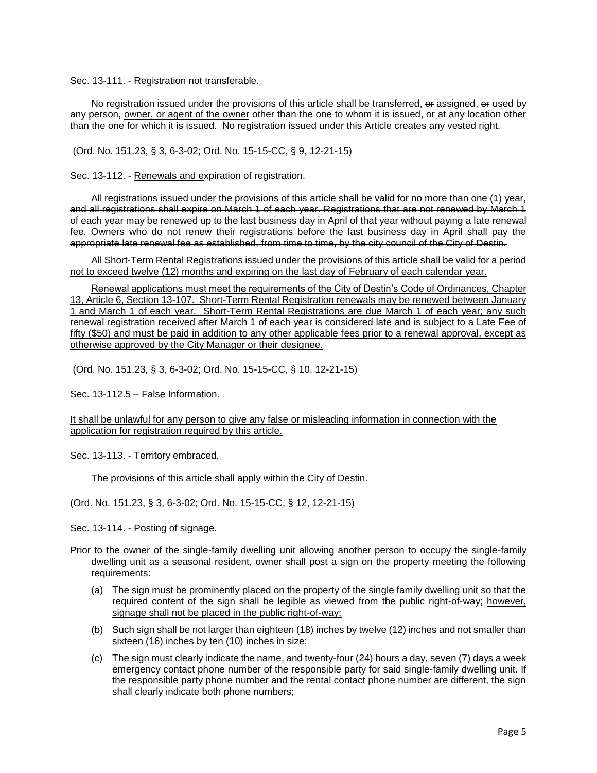Sec. 13-111. - Registration not transferable.

No registration issued under the provisions of this article shall be transferred, or assigned, or used by any person, owner, or agent of the owner other than the one to whom it is issued, or at any location other than the one for which it is issued. No registration issued under this Article creates any vested right.

(Ord. No. 151.23, § 3, 6-3-02; Ord. No. 15-15-CC, § 9, 12-21-15)

Sec. 13-112. - Renewals and expiration of registration.

All registrations issued under the provisions of this article shall be valid for no more than one (1) year, and all registrations shall expire on March 1 of each year. Registrations that are not renewed by March 1 of each year may be renewed up to the last business day in April of that year without paying a late renewal fee. Owners who do not renew their registrations before the last business day in April shall pay the appropriate late renewal fee as established, from time to time, by the city council of the City of Destin.

All Short-Term Rental Registrations issued under the provisions of this article shall be valid for a period not to exceed twelve (12) months and expiring on the last day of February of each calendar year.

Renewal applications must meet the requirements of the City of Destin's Code of Ordinances, Chapter 13, Article 6, Section 13-107. Short-Term Rental Registration renewals may be renewed between January 1 and March 1 of each year. Short-Term Rental Registrations are due March 1 of each year; any such renewal registration received after March 1 of each year is considered late and is subject to a Late Fee of fifty (\$50) and must be paid in addition to any other applicable fees prior to a renewal approval, except as otherwise approved by the City Manager or their designee.

(Ord. No. 151.23, § 3, 6-3-02; Ord. No. 15-15-CC, § 10, 12-21-15)

Sec. 13-112.5 – False Information.

It shall be unlawful for any person to give any false or misleading information in connection with the application for registration required by this article.

Sec. 13-113. - Territory embraced.

The provisions of this article shall apply within the City of Destin.

(Ord. No. 151.23, § 3, 6-3-02; Ord. No. 15-15-CC, § 12, 12-21-15)

Sec. 13-114. - Posting of signage.

- Prior to the owner of the single-family dwelling unit allowing another person to occupy the single-family dwelling unit as a seasonal resident, owner shall post a sign on the property meeting the following requirements:
	- (a) The sign must be prominently placed on the property of the single family dwelling unit so that the required content of the sign shall be legible as viewed from the public right-of-way; however, signage shall not be placed in the public right-of-way;
	- (b) Such sign shall be not larger than eighteen (18) inches by twelve (12) inches and not smaller than sixteen (16) inches by ten (10) inches in size;
	- (c) The sign must clearly indicate the name, and twenty-four (24) hours a day, seven (7) days a week emergency contact phone number of the responsible party for said single-family dwelling unit. If the responsible party phone number and the rental contact phone number are different, the sign shall clearly indicate both phone numbers;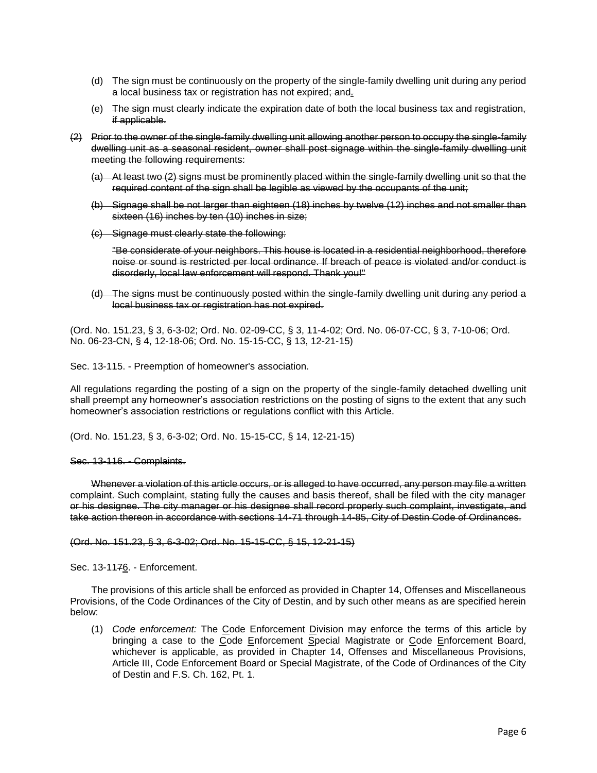- (d) The sign must be continuously on the property of the single-family dwelling unit during any period a local business tax or registration has not expired; and.
- (e) The sign must clearly indicate the expiration date of both the local business tax and registration, if applicable.
- (2) Prior to the owner of the single-family dwelling unit allowing another person to occupy the single-family dwelling unit as a seasonal resident, owner shall post signage within the single-family dwelling unit meeting the following requirements:
	- (a) At least two (2) signs must be prominently placed within the single-family dwelling unit so that the required content of the sign shall be legible as viewed by the occupants of the unit;
	- (b) Signage shall be not larger than eighteen (18) inches by twelve (12) inches and not smaller than sixteen (16) inches by ten (10) inches in size;
	- (c) Signage must clearly state the following:

"Be considerate of your neighbors. This house is located in a residential neighborhood, therefore noise or sound is restricted per local ordinance. If breach of peace is violated and/or conduct is disorderly, local law enforcement will respond. Thank you!"

(d) The signs must be continuously posted within the single-family dwelling unit during any period a local business tax or registration has not expired.

(Ord. No. 151.23, § 3, 6-3-02; Ord. No. 02-09-CC, § 3, 11-4-02; Ord. No. 06-07-CC, § 3, 7-10-06; Ord. No. 06-23-CN, § 4, 12-18-06; Ord. No. 15-15-CC, § 13, 12-21-15)

Sec. 13-115. - Preemption of homeowner's association.

All regulations regarding the posting of a sign on the property of the single-family detached dwelling unit shall preempt any homeowner's association restrictions on the posting of signs to the extent that any such homeowner's association restrictions or regulations conflict with this Article.

(Ord. No. 151.23, § 3, 6-3-02; Ord. No. 15-15-CC, § 14, 12-21-15)

Sec. 13-116. - Complaints.

Whenever a violation of this article occurs, or is alleged to have occurred, any person may file a written complaint. Such complaint, stating fully the causes and basis thereof, shall be filed with the city manager or his designee. The city manager or his designee shall record properly such complaint, investigate, and take action thereon in accordance with sections 14-71 through 14-85, City of Destin Code of Ordinances.

(Ord. No. 151.23, § 3, 6-3-02; Ord. No. 15-15-CC, § 15, 12-21-15)

Sec. 13-1176. - Enforcement.

The provisions of this article shall be enforced as provided in Chapter 14, Offenses and Miscellaneous Provisions, of the Code Ordinances of the City of Destin, and by such other means as are specified herein below:

(1) *Code enforcement:* The Code Enforcement Division may enforce the terms of this article by bringing a case to the Code Enforcement Special Magistrate or Code Enforcement Board, whichever is applicable, as provided in Chapter 14, Offenses and Miscellaneous Provisions, Article III, Code Enforcement Board or Special Magistrate, of the Code of Ordinances of the City of Destin and F.S. Ch. 162, Pt. 1.